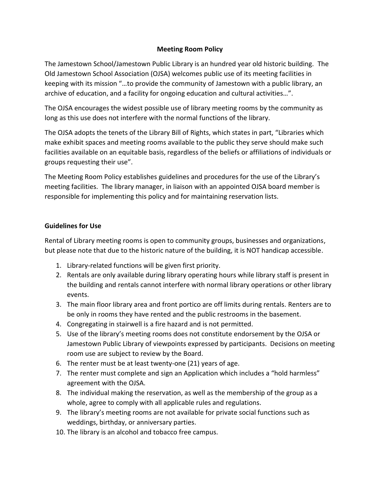## **Meeting Room Policy**

The Jamestown School/Jamestown Public Library is an hundred year old historic building. The Old Jamestown School Association (OJSA) welcomes public use of its meeting facilities in keeping with its mission "…to provide the community of Jamestown with a public library, an archive of education, and a facility for ongoing education and cultural activities…".

The OJSA encourages the widest possible use of library meeting rooms by the community as long as this use does not interfere with the normal functions of the library.

The OJSA adopts the tenets of the Library Bill of Rights, which states in part, "Libraries which make exhibit spaces and meeting rooms available to the public they serve should make such facilities available on an equitable basis, regardless of the beliefs or affiliations of individuals or groups requesting their use".

The Meeting Room Policy establishes guidelines and procedures for the use of the Library's meeting facilities. The library manager, in liaison with an appointed OJSA board member is responsible for implementing this policy and for maintaining reservation lists.

#### **Guidelines for Use**

Rental of Library meeting rooms is open to community groups, businesses and organizations, but please note that due to the historic nature of the building, it is NOT handicap accessible.

- 1. Library-related functions will be given first priority.
- 2. Rentals are only available during library operating hours while library staff is present in the building and rentals cannot interfere with normal library operations or other library events.
- 3. The main floor library area and front portico are off limits during rentals. Renters are to be only in rooms they have rented and the public restrooms in the basement.
- 4. Congregating in stairwell is a fire hazard and is not permitted.
- 5. Use of the library's meeting rooms does not constitute endorsement by the OJSA or Jamestown Public Library of viewpoints expressed by participants. Decisions on meeting room use are subject to review by the Board.
- 6. The renter must be at least twenty-one (21) years of age.
- 7. The renter must complete and sign an Application which includes a "hold harmless" agreement with the OJSA.
- 8. The individual making the reservation, as well as the membership of the group as a whole, agree to comply with all applicable rules and regulations.
- 9. The library's meeting rooms are not available for private social functions such as weddings, birthday, or anniversary parties.
- 10. The library is an alcohol and tobacco free campus.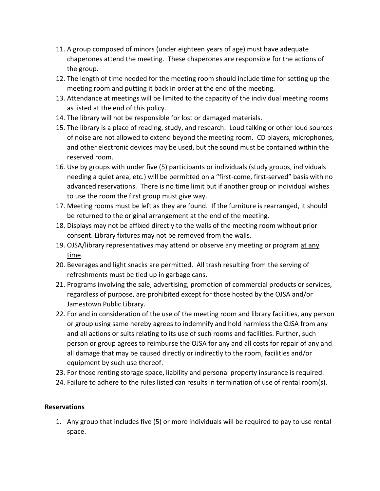- 11. A group composed of minors (under eighteen years of age) must have adequate chaperones attend the meeting. These chaperones are responsible for the actions of the group.
- 12. The length of time needed for the meeting room should include time for setting up the meeting room and putting it back in order at the end of the meeting.
- 13. Attendance at meetings will be limited to the capacity of the individual meeting rooms as listed at the end of this policy.
- 14. The library will not be responsible for lost or damaged materials.
- 15. The library is a place of reading, study, and research. Loud talking or other loud sources of noise are not allowed to extend beyond the meeting room. CD players, microphones, and other electronic devices may be used, but the sound must be contained within the reserved room.
- 16. Use by groups with under five (5) participants or individuals (study groups, individuals needing a quiet area, etc.) will be permitted on a "first-come, first-served" basis with no advanced reservations. There is no time limit but if another group or individual wishes to use the room the first group must give way.
- 17. Meeting rooms must be left as they are found. If the furniture is rearranged, it should be returned to the original arrangement at the end of the meeting.
- 18. Displays may not be affixed directly to the walls of the meeting room without prior consent. Library fixtures may not be removed from the walls.
- 19. OJSA/library representatives may attend or observe any meeting or program at any time.
- 20. Beverages and light snacks are permitted. All trash resulting from the serving of refreshments must be tied up in garbage cans.
- 21. Programs involving the sale, advertising, promotion of commercial products or services, regardless of purpose, are prohibited except for those hosted by the OJSA and/or Jamestown Public Library.
- 22. For and in consideration of the use of the meeting room and library facilities, any person or group using same hereby agrees to indemnify and hold harmless the OJSA from any and all actions or suits relating to its use of such rooms and facilities. Further, such person or group agrees to reimburse the OJSA for any and all costs for repair of any and all damage that may be caused directly or indirectly to the room, facilities and/or equipment by such use thereof.
- 23. For those renting storage space, liability and personal property insurance is required.
- 24. Failure to adhere to the rules listed can results in termination of use of rental room(s).

## **Reservations**

1. Any group that includes five (5) or more individuals will be required to pay to use rental space.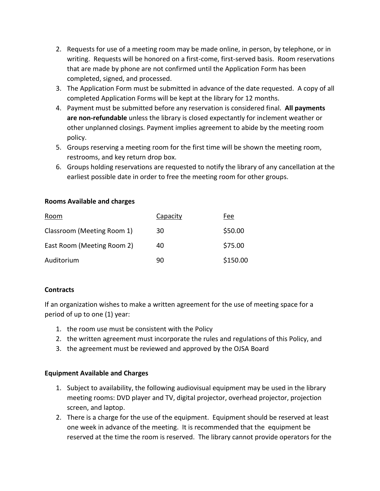- 2. Requests for use of a meeting room may be made online, in person, by telephone, or in writing. Requests will be honored on a first-come, first-served basis. Room reservations that are made by phone are not confirmed until the Application Form has been completed, signed, and processed.
- 3. The Application Form must be submitted in advance of the date requested. A copy of all completed Application Forms will be kept at the library for 12 months.
- 4. Payment must be submitted before any reservation is considered final. **All payments are non-refundable** unless the library is closed expectantly for inclement weather or other unplanned closings. Payment implies agreement to abide by the meeting room policy.
- 5. Groups reserving a meeting room for the first time will be shown the meeting room, restrooms, and key return drop box.
- 6. Groups holding reservations are requested to notify the library of any cancellation at the earliest possible date in order to free the meeting room for other groups.

## **Rooms Available and charges**

| Room                       | Capacity | Fee      |
|----------------------------|----------|----------|
| Classroom (Meeting Room 1) | 30       | \$50.00  |
| East Room (Meeting Room 2) | 40       | \$75.00  |
| Auditorium                 | 90       | \$150.00 |

## **Contracts**

If an organization wishes to make a written agreement for the use of meeting space for a period of up to one (1) year:

- 1. the room use must be consistent with the Policy
- 2. the written agreement must incorporate the rules and regulations of this Policy, and
- 3. the agreement must be reviewed and approved by the OJSA Board

# **Equipment Available and Charges**

- 1. Subject to availability, the following audiovisual equipment may be used in the library meeting rooms: DVD player and TV, digital projector, overhead projector, projection screen, and laptop.
- 2. There is a charge for the use of the equipment. Equipment should be reserved at least one week in advance of the meeting. It is recommended that the equipment be reserved at the time the room is reserved. The library cannot provide operators for the